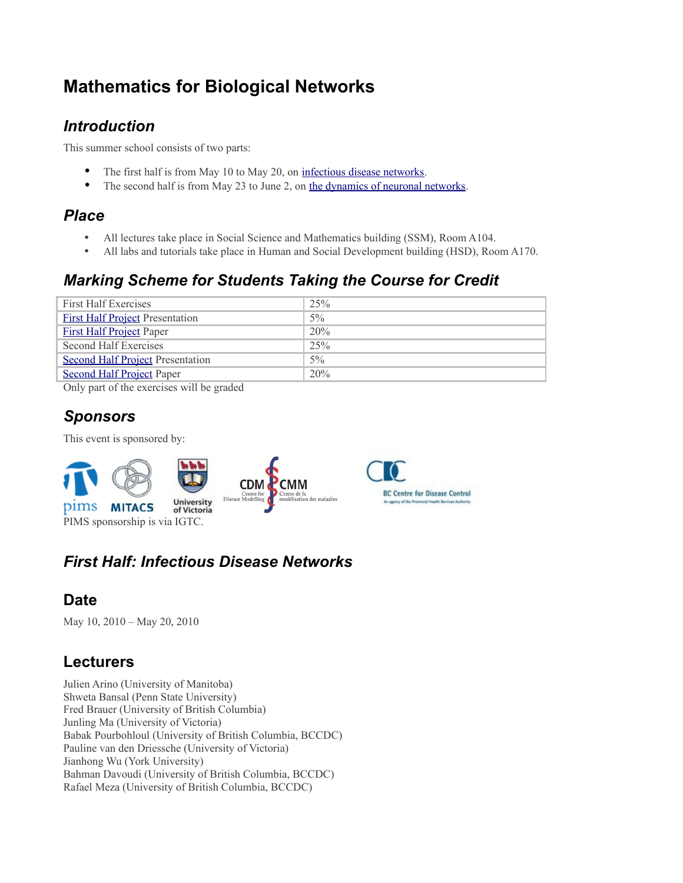# **Mathematics for Biological Networks**

#### *Introduction*

This summer school consists of two parts:

- The first half is from May 10 to May 20, on [infectious disease networks.](http://www.math.uvic.ca/courses/2010k/math575/doku.php/part_i._infectious_disease_networks)
- The second half is from May 23 to June 2, on [the dynamics of neuronal networks.](http://www.math.uvic.ca/courses/2010k/math575/doku.php/part_ii._neuronal_networks)

#### *Place*

- All lectures take place in Social Science and Mathematics building (SSM), Room A104.
- All labs and tutorials take place in Human and Social Development building (HSD), Room A170.

#### *Marking Scheme for Students Taking the Course for Credit*

| <b>First Half Exercises</b>             | 25%   |
|-----------------------------------------|-------|
| <b>First Half Project Presentation</b>  | $5\%$ |
| <b>First Half Project Paper</b>         | 20%   |
| Second Half Exercises                   | 25%   |
| <b>Second Half Project Presentation</b> | $5\%$ |
| <b>Second Half Project Paper</b>        | 20%   |

Only part of the exercises will be graded

#### *Sponsors*

This event is sponsored by:



# *First Half: Infectious Disease Networks*

#### **Date**

May 10, 2010 – May 20, 2010

#### **Lecturers**

Julien Arino (University of Manitoba) Shweta Bansal (Penn State University) Fred Brauer (University of British Columbia) Junling Ma (University of Victoria) Babak Pourbohloul (University of British Columbia, BCCDC) Pauline van den Driessche (University of Victoria) Jianhong Wu (York University) Bahman Davoudi (University of British Columbia, BCCDC) Rafael Meza (University of British Columbia, BCCDC)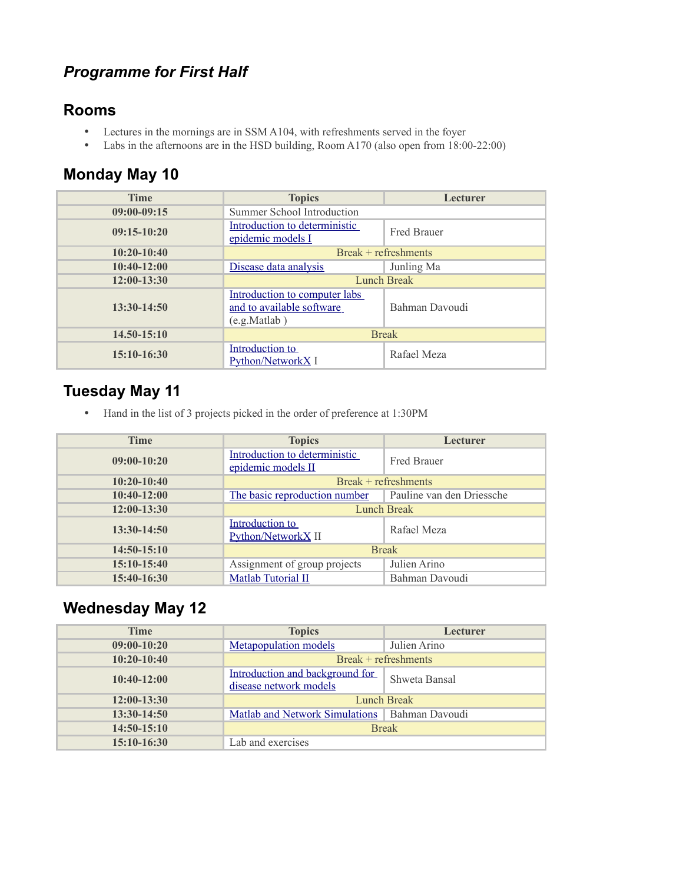## *Programme for First Half*

#### **Rooms**

- Lectures in the mornings are in SSM A104, with refreshments served in the foyer
- Labs in the afternoons are in the HSD building, Room A170 (also open from 18:00-22:00)

## **Monday May 10**

| <b>Time</b>     | <b>Topics</b>                                                              | Lecturer             |
|-----------------|----------------------------------------------------------------------------|----------------------|
| $09:00-09:15$   | Summer School Introduction                                                 |                      |
| $09:15-10:20$   | Introduction to deterministic<br>epidemic models I                         | <b>Fred Brauer</b>   |
| $10:20-10:40$   |                                                                            | Break + refreshments |
| $10:40-12:00$   | Disease data analysis                                                      | Junling Ma           |
| $12:00-13:30$   | Lunch Break                                                                |                      |
| $13:30-14:50$   | Introduction to computer labs<br>and to available software<br>(e.g.Matlab) | Bahman Davoudi       |
| $14.50 - 15:10$ | <b>Break</b>                                                               |                      |
| $15:10-16:30$   | Introduction to<br>Python/NetworkX I                                       | Rafael Meza          |

#### **Tuesday May 11**

• Hand in the list of 3 projects picked in the order of preference at 1:30PM

| <b>Time</b>   | <b>Topics</b>                                       | Lecturer                  |
|---------------|-----------------------------------------------------|---------------------------|
| $09:00-10:20$ | Introduction to deterministic<br>epidemic models II | <b>Fred Brauer</b>        |
| $10:20-10:40$ |                                                     | $Break +refreshments$     |
| $10:40-12:00$ | The basic reproduction number                       | Pauline van den Driessche |
| $12:00-13:30$ | Lunch Break                                         |                           |
| $13:30-14:50$ | Introduction to<br>Python/NetworkX <sub>II</sub>    | Rafael Meza               |
| $14:50-15:10$ | <b>Break</b>                                        |                           |
| $15:10-15:40$ | Assignment of group projects                        | Julien Arino              |
| 15:40-16:30   | <b>Matlab Tutorial II</b>                           | Bahman Davoudi            |

## **Wednesday May 12**

| <b>Time</b>   | <b>Topics</b>                                             | Lecturer              |
|---------------|-----------------------------------------------------------|-----------------------|
| $09:00-10:20$ | <b>Metapopulation</b> models                              | Julien Arino          |
| $10:20-10:40$ |                                                           | $Break +refreshments$ |
| $10:40-12:00$ | Introduction and background for<br>disease network models | Shweta Bansal         |
| $12:00-13:30$ | <b>Lunch Break</b>                                        |                       |
| $13:30-14:50$ | <b>Matlab and Network Simulations</b>                     | Bahman Davoudi        |
| $14:50-15:10$ | <b>Break</b>                                              |                       |
| $15:10-16:30$ | Lab and exercises                                         |                       |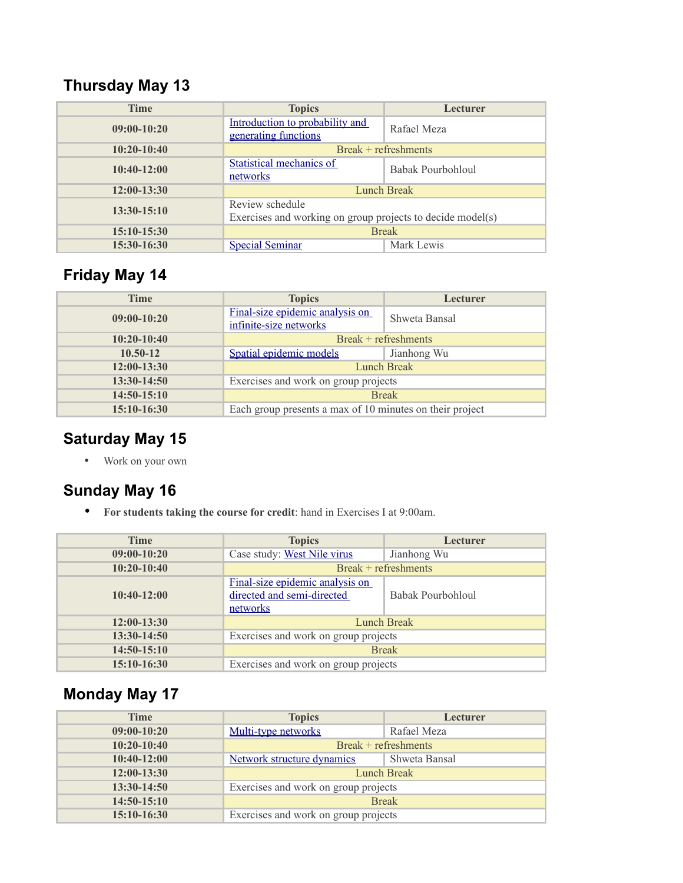# **Thursday May 13**

| <b>Time</b>   | <b>Topics</b>                                                                 | <b>Lecturer</b>       |
|---------------|-------------------------------------------------------------------------------|-----------------------|
| $09:00-10:20$ | Introduction to probability and<br>generating functions                       | Rafael Meza           |
| $10:20-10:40$ |                                                                               | $Break +refreshments$ |
| $10:40-12:00$ | Statistical mechanics of<br>networks                                          | Babak Pourbohloul     |
| $12:00-13:30$ | Lunch Break                                                                   |                       |
| $13:30-15:10$ | Review schedule<br>Exercises and working on group projects to decide model(s) |                       |
| $15:10-15:30$ | <b>Break</b>                                                                  |                       |
| $15:30-16:30$ | <b>Special Seminar</b>                                                        | Mark Lewis            |

# **Friday May 14**

| <b>Time</b>   | <b>Topics</b>                                             | Lecturer      |
|---------------|-----------------------------------------------------------|---------------|
| $09:00-10:20$ | Final-size epidemic analysis on<br>infinite-size networks | Shweta Bansal |
| $10:20-10:40$ | Break + refreshments                                      |               |
| $10.50 - 12$  | Spatial epidemic models                                   | Jianhong Wu   |
| 12:00-13:30   | Lunch Break                                               |               |
| 13:30-14:50   | Exercises and work on group projects                      |               |
| 14:50-15:10   | <b>Break</b>                                              |               |
| 15:10-16:30   | Each group presents a max of 10 minutes on their project  |               |

## **Saturday May 15**

• Work on your own

#### **Sunday May 16**

• **For students taking the course for credit**: hand in Exercises I at 9:00am.

| <b>Time</b>   | <b>Topics</b>                                                             | Lecturer             |
|---------------|---------------------------------------------------------------------------|----------------------|
| $09:00-10:20$ | Case study: West Nile virus                                               | Jianhong Wu          |
| $10:20-10:40$ |                                                                           | Break + refreshments |
| $10:40-12:00$ | Final-size epidemic analysis on<br>directed and semi-directed<br>networks | Babak Pourbohloul    |
| $12:00-13:30$ |                                                                           | <b>Lunch Break</b>   |
| $13:30-14:50$ | Exercises and work on group projects                                      |                      |
| $14:50-15:10$ | <b>Break</b>                                                              |                      |
| $15:10-16:30$ | Exercises and work on group projects                                      |                      |

# **Monday May 17**

| <b>Time</b>   | <b>Topics</b>                        | Lecturer              |
|---------------|--------------------------------------|-----------------------|
| $09:00-10:20$ | Multi-type networks                  | Rafael Meza           |
| $10:20-10:40$ |                                      | $Break +refreshments$ |
| $10:40-12:00$ | Network structure dynamics           | Shweta Bansal         |
| $12:00-13:30$ |                                      | <b>Lunch Break</b>    |
| 13:30-14:50   | Exercises and work on group projects |                       |
| $14:50-15:10$ | <b>Break</b>                         |                       |
| $15:10-16:30$ | Exercises and work on group projects |                       |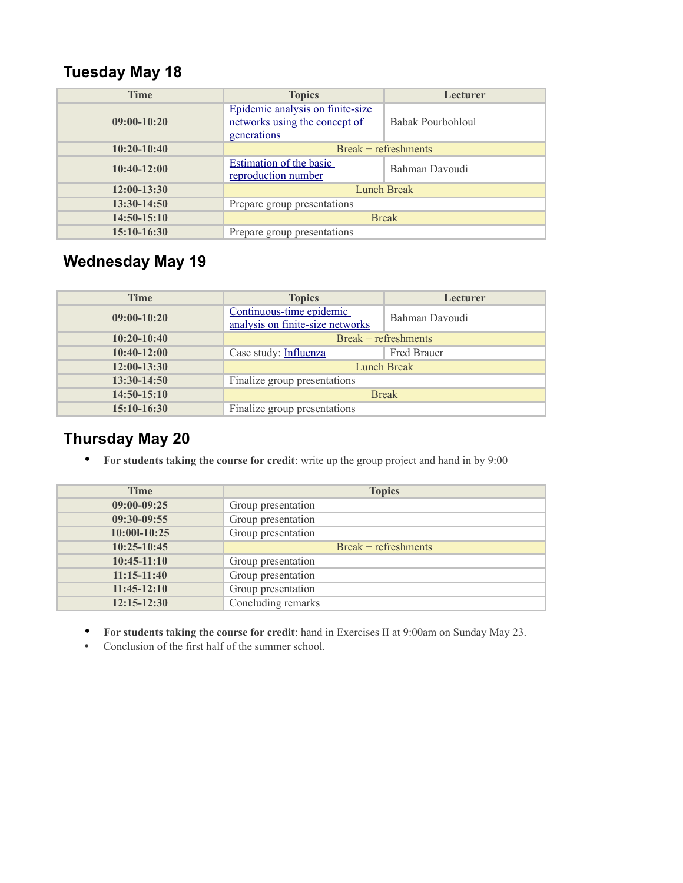# **Tuesday May 18**

| <b>Time</b>   | <b>Topics</b>                                                                    | Lecturer             |
|---------------|----------------------------------------------------------------------------------|----------------------|
| $09:00-10:20$ | Epidemic analysis on finite-size<br>networks using the concept of<br>generations | Babak Pourbohloul    |
| $10:20-10:40$ |                                                                                  | Break + refreshments |
| $10:40-12:00$ | <b>Estimation of the basic</b><br>reproduction number                            | Bahman Davoudi       |
| $12:00-13:30$ | <b>Lunch Break</b>                                                               |                      |
| $13:30-14:50$ | Prepare group presentations                                                      |                      |
| $14:50-15:10$ | <b>Break</b>                                                                     |                      |
| $15:10-16:30$ | Prepare group presentations                                                      |                      |

# **Wednesday May 19**

| <b>Time</b>   | <b>Topics</b>                                                | Lecturer           |
|---------------|--------------------------------------------------------------|--------------------|
| $09:00-10:20$ | Continuous-time epidemic<br>analysis on finite-size networks | Bahman Davoudi     |
| $10:20-10:40$ | $Break +refreshments$                                        |                    |
| $10:40-12:00$ | Case study: Influenza                                        | <b>Fred Brauer</b> |
| $12:00-13:30$ | <b>Lunch Break</b>                                           |                    |
| $13:30-14:50$ | Finalize group presentations                                 |                    |
| $14:50-15:10$ | <b>Break</b>                                                 |                    |
| $15:10-16:30$ | Finalize group presentations                                 |                    |

## **Thursday May 20**

• **For students taking the course for credit**: write up the group project and hand in by 9:00

| <b>Time</b>     | <b>Topics</b>        |
|-----------------|----------------------|
| $09:00-09:25$   | Group presentation   |
| 09:30-09:55     | Group presentation   |
| 10:001-10:25    | Group presentation   |
| $10:25-10:45$   | Break + refreshments |
| $10:45-11:10$   | Group presentation   |
| $11:15-11:40$   | Group presentation   |
| $11:45-12:10$   | Group presentation   |
| $12:15 - 12:30$ | Concluding remarks   |

- **For students taking the course for credit**: hand in Exercises II at 9:00am on Sunday May 23.
- Conclusion of the first half of the summer school.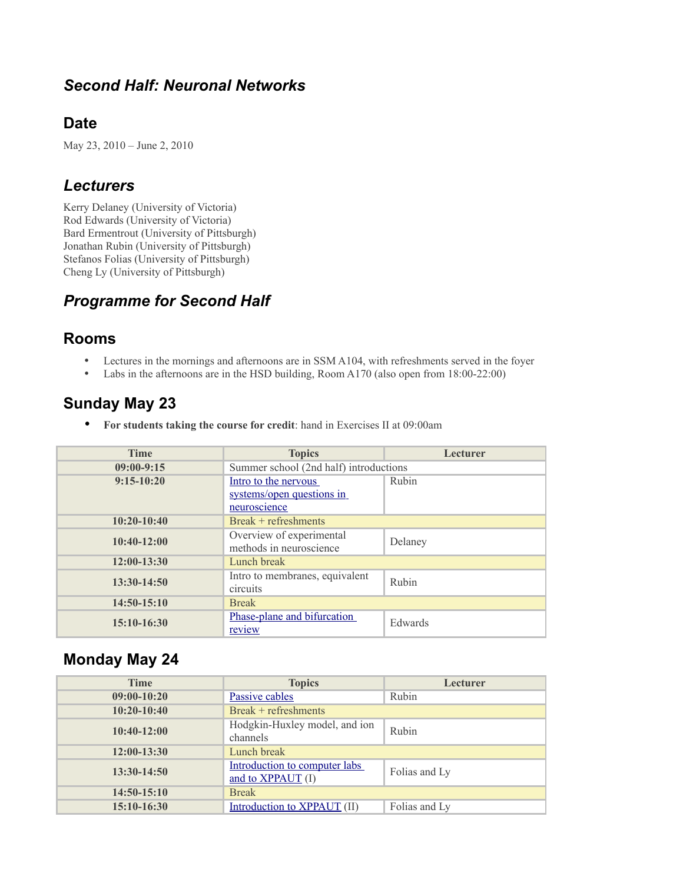#### *Second Half: Neuronal Networks*

#### **Date**

May 23, 2010 – June 2, 2010

#### *Lecturers*

Kerry Delaney (University of Victoria) Rod Edwards (University of Victoria) Bard Ermentrout (University of Pittsburgh) Jonathan Rubin (University of Pittsburgh) Stefanos Folias (University of Pittsburgh) Cheng Ly (University of Pittsburgh)

#### *Programme for Second Half*

#### **Rooms**

- Lectures in the mornings and afternoons are in SSM A104, with refreshments served in the foyer
- Labs in the afternoons are in the HSD building, Room A170 (also open from 18:00-22:00)

#### **Sunday May 23**

• **For students taking the course for credit**: hand in Exercises II at 09:00am

| <b>Time</b>   | <b>Topics</b>                          | Lecturer |
|---------------|----------------------------------------|----------|
| $09:00-9:15$  | Summer school (2nd half) introductions |          |
| $9:15-10:20$  | Intro to the nervous                   | Rubin    |
|               | systems/open questions in              |          |
|               | neuroscience                           |          |
| $10:20-10:40$ | $Break +refreshments$                  |          |
| $10:40-12:00$ | Overview of experimental               | Delaney  |
|               | methods in neuroscience                |          |
| $12:00-13:30$ | Lunch break                            |          |
| $13:30-14:50$ | Intro to membranes, equivalent         | Rubin    |
|               | circuits                               |          |
| $14:50-15:10$ | <b>Break</b>                           |          |
| $15:10-16:30$ | Phase-plane and bifurcation            | Edwards  |
|               | review                                 |          |

#### **Monday May 24**

| <b>Time</b>   | <b>Topics</b>                                      | <b>Lecturer</b> |
|---------------|----------------------------------------------------|-----------------|
| $09:00-10:20$ | Passive cables                                     | Rubin           |
| $10:20-10:40$ | Break + refreshments                               |                 |
| $10:40-12:00$ | Hodgkin-Huxley model, and ion<br>channels          | Rubin           |
| $12:00-13:30$ | Lunch break                                        |                 |
| $13:30-14:50$ | Introduction to computer labs<br>and to XPPAUT (I) | Folias and Ly   |
| $14:50-15:10$ | <b>Break</b>                                       |                 |
| $15:10-16:30$ | Introduction to XPPAUT (II)                        | Folias and Ly   |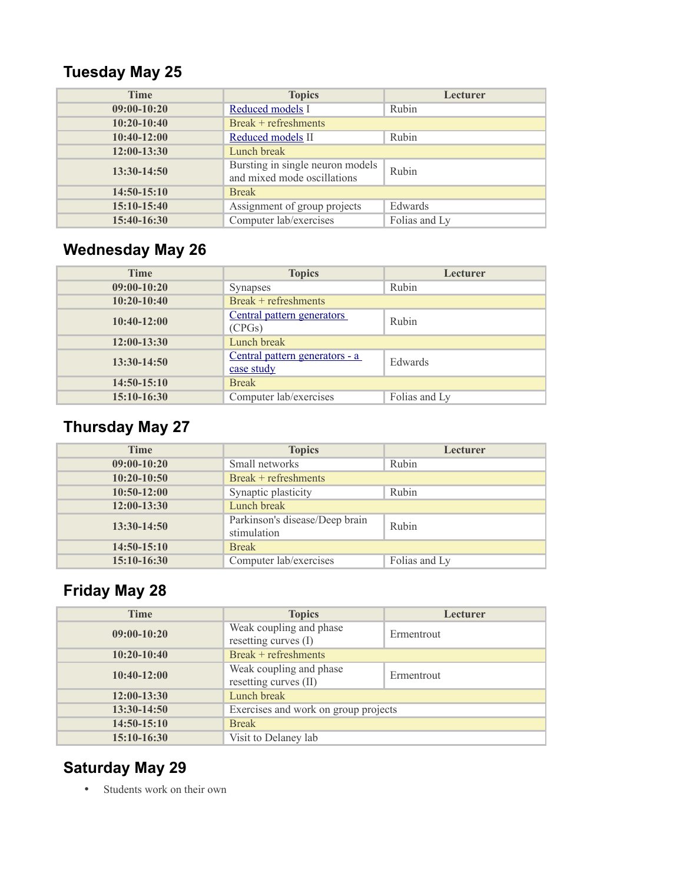# **Tuesday May 25**

| <b>Time</b>   | <b>Topics</b>                                                   | Lecturer      |
|---------------|-----------------------------------------------------------------|---------------|
| $09:00-10:20$ | Reduced models I                                                | Rubin         |
| $10:20-10:40$ | Break + refreshments                                            |               |
| $10:40-12:00$ | Reduced models II                                               | Rubin         |
| $12:00-13:30$ | Lunch break                                                     |               |
| $13:30-14:50$ | Bursting in single neuron models<br>and mixed mode oscillations | Rubin         |
| $14:50-15:10$ | <b>Break</b>                                                    |               |
| $15:10-15:40$ | Assignment of group projects                                    | Edwards       |
| 15:40-16:30   | Computer lab/exercises                                          | Folias and Ly |

# **Wednesday May 26**

| <b>Time</b>   | <b>Topics</b>                                | Lecturer      |
|---------------|----------------------------------------------|---------------|
| $09:00-10:20$ | <b>Synapses</b>                              | Rubin         |
| $10:20-10:40$ | Break + refreshments                         |               |
| $10:40-12:00$ | Central pattern generators<br>(CPGs)         | Rubin         |
| $12:00-13:30$ | Lunch break                                  |               |
| $13:30-14:50$ | Central pattern generators - a<br>case study | Edwards       |
| $14:50-15:10$ | <b>Break</b>                                 |               |
| $15:10-16:30$ | Computer lab/exercises                       | Folias and Ly |

# **Thursday May 27**

| <b>Time</b>   | <b>Topics</b>                                 | Lecturer      |
|---------------|-----------------------------------------------|---------------|
| $09:00-10:20$ | Small networks                                | Rubin         |
| $10:20-10:50$ | $Break +refreshments$                         |               |
| $10:50-12:00$ | Synaptic plasticity                           | Rubin         |
| $12:00-13:30$ | Lunch break                                   |               |
| 13:30-14:50   | Parkinson's disease/Deep brain<br>stimulation | Rubin         |
| $14:50-15:10$ | <b>Break</b>                                  |               |
| 15:10-16:30   | Computer lab/exercises                        | Folias and Ly |

# **Friday May 28**

| <b>Time</b>   | <b>Topics</b>                                    | Lecturer   |
|---------------|--------------------------------------------------|------------|
| $09:00-10:20$ | Weak coupling and phase<br>resetting curves (I)  | Ermentrout |
| $10:20-10:40$ | Break + refreshments                             |            |
| $10:40-12:00$ | Weak coupling and phase<br>resetting curves (II) | Ermentrout |
| $12:00-13:30$ | Lunch break                                      |            |
| $13:30-14:50$ | Exercises and work on group projects             |            |
| 14:50-15:10   | <b>Break</b>                                     |            |
| $15:10-16:30$ | Visit to Delaney lab                             |            |

## **Saturday May 29**

• Students work on their own